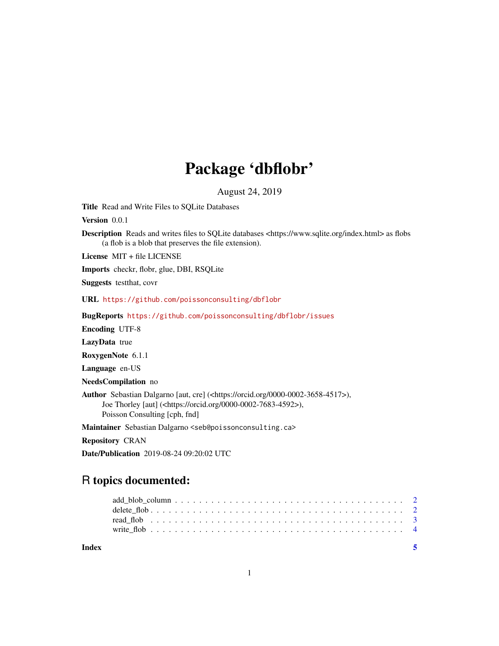## Package 'dbflobr'

August 24, 2019

<span id="page-0-0"></span>Title Read and Write Files to SQLite Databases

Version 0.0.1

Description Reads and writes files to SQLite databases <https://www.sqlite.org/index.html> as flobs (a flob is a blob that preserves the file extension).

License MIT + file LICENSE

Imports checkr, flobr, glue, DBI, RSQLite

Suggests testthat, covr

URL <https://github.com/poissonconsulting/dbflobr>

BugReports <https://github.com/poissonconsulting/dbflobr/issues>

Encoding UTF-8

LazyData true

RoxygenNote 6.1.1

Language en-US

NeedsCompilation no

Author Sebastian Dalgarno [aut, cre] (<https://orcid.org/0000-0002-3658-4517>), Joe Thorley [aut] (<https://orcid.org/0000-0002-7683-4592>), Poisson Consulting [cph, fnd]

Maintainer Sebastian Dalgarno <seb@poissonconsulting.ca>

Repository CRAN

Date/Publication 2019-08-24 09:20:02 UTC

### R topics documented:

**Index** [5](#page-4-0). The second state of the second state of the second state of the second state of the second state of the second state of the second state of the second state of the second state of the second state of the second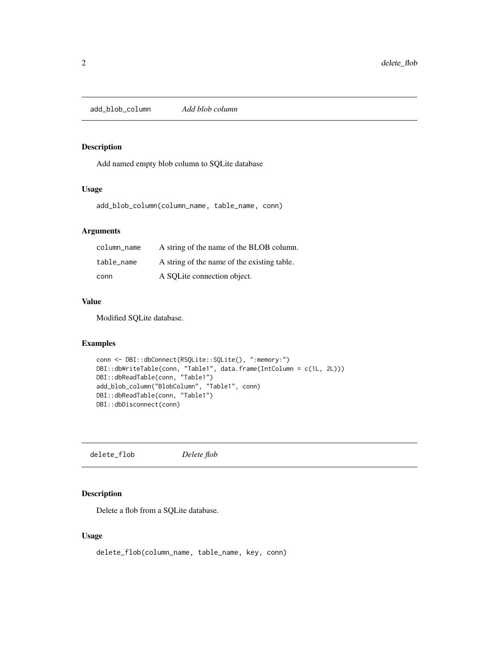<span id="page-1-0"></span>add\_blob\_column *Add blob column*

#### Description

Add named empty blob column to SQLite database

#### Usage

add\_blob\_column(column\_name, table\_name, conn)

#### Arguments

| column_name | A string of the name of the BLOB column.    |
|-------------|---------------------------------------------|
| table name  | A string of the name of the existing table. |
| conn        | A SQLite connection object.                 |

#### Value

Modified SQLite database.

#### Examples

```
conn <- DBI::dbConnect(RSQLite::SQLite(), ":memory:")
DBI::dbWriteTable(conn, "Table1", data.frame(IntColumn = c(1L, 2L)))
DBI::dbReadTable(conn, "Table1")
add_blob_column("BlobColumn", "Table1", conn)
DBI::dbReadTable(conn, "Table1")
DBI::dbDisconnect(conn)
```
delete\_flob *Delete flob*

#### Description

Delete a flob from a SQLite database.

#### Usage

delete\_flob(column\_name, table\_name, key, conn)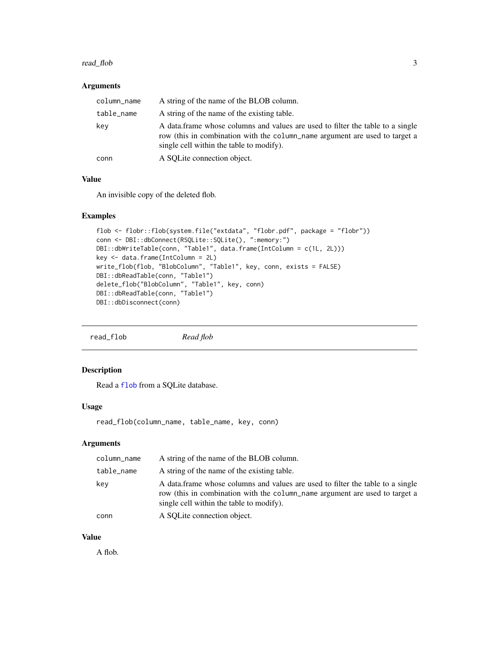#### <span id="page-2-0"></span>read\_flob 3

#### Arguments

| column_name | A string of the name of the BLOB column.                                                                                                                                                                  |
|-------------|-----------------------------------------------------------------------------------------------------------------------------------------------------------------------------------------------------------|
| table_name  | A string of the name of the existing table.                                                                                                                                                               |
| kev         | A data frame whose columns and values are used to filter the table to a single<br>row (this in combination with the column name argument are used to target a<br>single cell within the table to modify). |
| conn        | A SOLite connection object.                                                                                                                                                                               |

#### Value

An invisible copy of the deleted flob.

#### Examples

```
flob <- flobr::flob(system.file("extdata", "flobr.pdf", package = "flobr"))
conn <- DBI::dbConnect(RSQLite::SQLite(), ":memory:")
DBI::dbWriteTable(conn, "Table1", data.frame(IntColumn = c(1L, 2L)))
key <- data.frame(IntColumn = 2L)
write_flob(flob, "BlobColumn", "Table1", key, conn, exists = FALSE)
DBI::dbReadTable(conn, "Table1")
delete_flob("BlobColumn", "Table1", key, conn)
DBI::dbReadTable(conn, "Table1")
DBI::dbDisconnect(conn)
```
read\_flob *Read flob*

#### Description

Read a [flob](#page-0-0) from a SQLite database.

#### Usage

read\_flob(column\_name, table\_name, key, conn)

#### Arguments

| column_name | A string of the name of the BLOB column.                                                                                                                                                                  |
|-------------|-----------------------------------------------------------------------------------------------------------------------------------------------------------------------------------------------------------|
| table_name  | A string of the name of the existing table.                                                                                                                                                               |
| kev         | A data frame whose columns and values are used to filter the table to a single<br>row (this in combination with the column name argument are used to target a<br>single cell within the table to modify). |
| conn        | A SQLite connection object.                                                                                                                                                                               |

#### Value

A flob.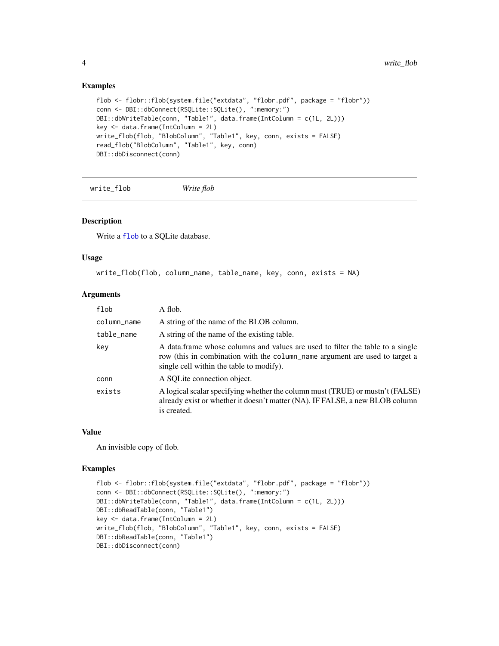#### Examples

```
flob <- flobr::flob(system.file("extdata", "flobr.pdf", package = "flobr"))
conn <- DBI::dbConnect(RSQLite::SQLite(), ":memory:")
DBI::dbWriteTable(conn, "Table1", data.frame(IntColumn = c(1L, 2L)))
key <- data.frame(IntColumn = 2L)
write_flob(flob, "BlobColumn", "Table1", key, conn, exists = FALSE)
read_flob("BlobColumn", "Table1", key, conn)
DBI::dbDisconnect(conn)
```
write\_flob *Write flob*

#### Description

Write a [flob](#page-0-0) to a SQLite database.

#### Usage

write\_flob(flob, column\_name, table\_name, key, conn, exists = NA)

#### Arguments

| flob        | A flob.                                                                                                                                                                                                   |
|-------------|-----------------------------------------------------------------------------------------------------------------------------------------------------------------------------------------------------------|
| column_name | A string of the name of the BLOB column.                                                                                                                                                                  |
| table_name  | A string of the name of the existing table.                                                                                                                                                               |
| key         | A data frame whose columns and values are used to filter the table to a single<br>row (this in combination with the column_name argument are used to target a<br>single cell within the table to modify). |
| conn        | A SOLite connection object.                                                                                                                                                                               |
| exists      | A logical scalar specifying whether the column must (TRUE) or mustn't (FALSE)<br>already exist or whether it doesn't matter (NA). IF FALSE, a new BLOB column<br>is created.                              |

#### Value

An invisible copy of flob.

#### Examples

```
flob <- flobr::flob(system.file("extdata", "flobr.pdf", package = "flobr"))
conn <- DBI::dbConnect(RSQLite::SQLite(), ":memory:")
DBI::dbWriteTable(conn, "Table1", data.frame(IntColumn = c(1L, 2L)))
DBI::dbReadTable(conn, "Table1")
key <- data.frame(IntColumn = 2L)
write_flob(flob, "BlobColumn", "Table1", key, conn, exists = FALSE)
DBI::dbReadTable(conn, "Table1")
DBI::dbDisconnect(conn)
```
<span id="page-3-0"></span>